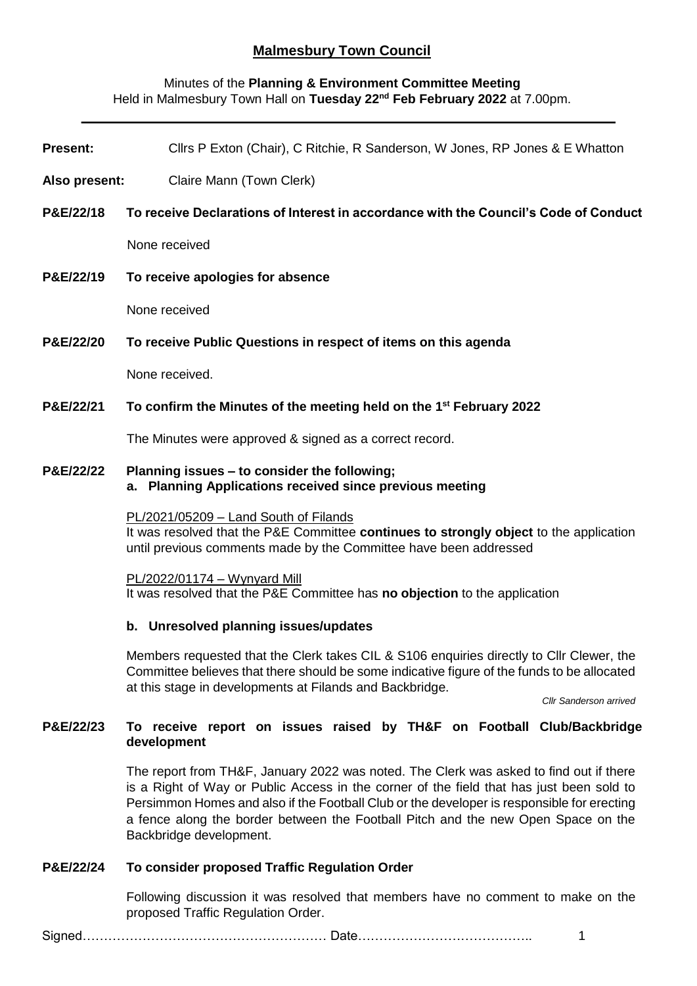# **Malmesbury Town Council**

# Minutes of the **Planning & Environment Committee Meeting** Held in Malmesbury Town Hall on **Tuesday 22nd Feb February 2022** at 7.00pm.

| <b>Present:</b>      | Cllrs P Exton (Chair), C Ritchie, R Sanderson, W Jones, RP Jones & E Whatton                                                                                                                         |
|----------------------|------------------------------------------------------------------------------------------------------------------------------------------------------------------------------------------------------|
| Also present:        | Claire Mann (Town Clerk)                                                                                                                                                                             |
| P&E/22/18            | To receive Declarations of Interest in accordance with the Council's Code of Conduct                                                                                                                 |
|                      | None received                                                                                                                                                                                        |
| P&E/22/19            | To receive apologies for absence                                                                                                                                                                     |
|                      | None received                                                                                                                                                                                        |
| P&E/22/20            | To receive Public Questions in respect of items on this agenda                                                                                                                                       |
|                      | None received.                                                                                                                                                                                       |
| P&E/22/21            | To confirm the Minutes of the meeting held on the 1 <sup>st</sup> February 2022                                                                                                                      |
|                      | The Minutes were approved & signed as a correct record.                                                                                                                                              |
| <b>P&amp;E/22/22</b> | Planning issues – to consider the following;<br>a. Planning Applications received since previous meeting                                                                                             |
|                      | PL/2021/05209 - Land South of Filands<br>It was resolved that the P&E Committee continues to strongly object to the application<br>until previous comments made by the Committee have been addressed |

PL/2022/01174 – Wynyard Mill It was resolved that the P&E Committee has **no objection** to the application

#### **b. Unresolved planning issues/updates**

Members requested that the Clerk takes CIL & S106 enquiries directly to Cllr Clewer, the Committee believes that there should be some indicative figure of the funds to be allocated at this stage in developments at Filands and Backbridge.

*Cllr Sanderson arrived*

# **P&E/22/23 To receive report on issues raised by TH&F on Football Club/Backbridge development**

The report from TH&F, January 2022 was noted. The Clerk was asked to find out if there is a Right of Way or Public Access in the corner of the field that has just been sold to Persimmon Homes and also if the Football Club or the developer is responsible for erecting a fence along the border between the Football Pitch and the new Open Space on the Backbridge development.

# **P&E/22/24 To consider proposed Traffic Regulation Order**

Following discussion it was resolved that members have no comment to make on the proposed Traffic Regulation Order.